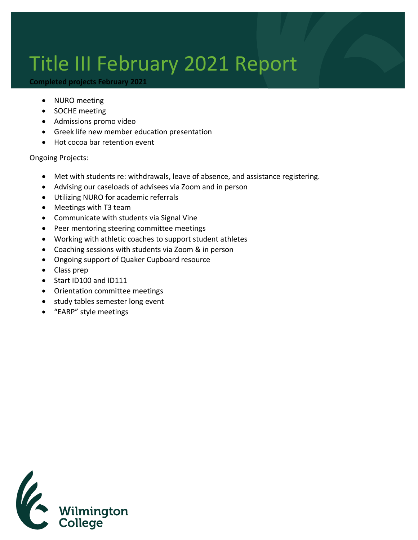## Title III February 2021 Report

## **Completed projects February 2021**

- NURO meeting
- SOCHE meeting
- Admissions promo video
- Greek life new member education presentation
- Hot cocoa bar retention event

Ongoing Projects:

- Met with students re: withdrawals, leave of absence, and assistance registering.
- Advising our caseloads of advisees via Zoom and in person
- Utilizing NURO for academic referrals
- Meetings with T3 team
- Communicate with students via Signal Vine
- Peer mentoring steering committee meetings
- Working with athletic coaches to support student athletes
- Coaching sessions with students via Zoom & in person
- Ongoing support of Quaker Cupboard resource
- Class prep
- Start ID100 and ID111
- Orientation committee meetings
- study tables semester long event
- "EARP" style meetings